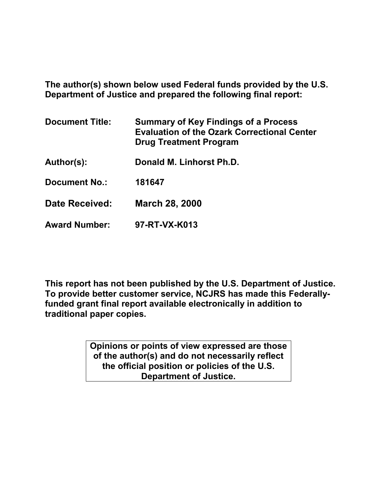**The author(s) shown below used Federal funds provided by the U.S. Department of Justice and prepared the following final report:**

| <b>Document Title:</b> | <b>Summary of Key Findings of a Process</b><br><b>Evaluation of the Ozark Correctional Center</b><br><b>Drug Treatment Program</b> |
|------------------------|------------------------------------------------------------------------------------------------------------------------------------|
| Author(s):             | Donald M. Linhorst Ph.D.                                                                                                           |
| <b>Document No.:</b>   | 181647                                                                                                                             |
| <b>Date Received:</b>  | <b>March 28, 2000</b>                                                                                                              |
| <b>Award Number:</b>   | 97-RT-VX-K013                                                                                                                      |

**This report has not been published by the U.S. Department of Justice. To provide better customer service, NCJRS has made this Federallyfunded grant final report available electronically in addition to traditional paper copies.**

> **Opinions or points of view expressed are those of the author(s) and do not necessarily reflect the official position or policies of the U.S. Department of Justice.**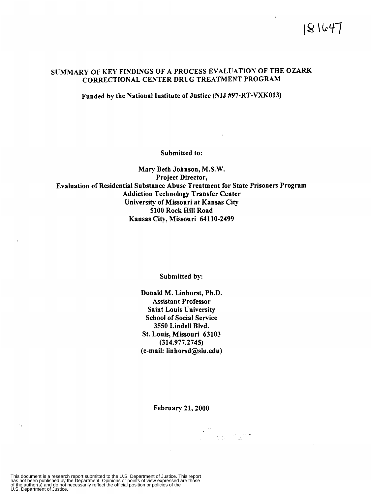# SUMMARY OF **KEY** FINDINGS OF A PROCESS EVALUATION OF THE **OZARK**  CORRECTIONAL CENTER DRUG TREATMENT PROGRAM

Funded by the National Institute of Justice **(NIJ** #97-RT-VXK013)

Submitted to:

Mary Beth Johnson, M.S.W. Project Director, Evaluation of Residential Substance Abuse Treatment for State Prisoners Program Addiction Technology Transfer Center University of Missouri at Kansas City 5100 Rock Hill Road Kansas City, Missouri 64110-2499

Submitted by:

Donald M. Linhorst, **Ph.D.**  Assistant Professor Saint Louis University School of Social Service **3550** Lindell Blvd. St. Louis, Missouri 63103 (314.977.2745) (e-mail: linhorsd@slu.edu)

February 21,2000

am<br>Thomas 1943

This document is a research report submitted to the U.S. Department of Justice. This report<br>has not been published by the Department. Opinions or points of view expressed are those<br>of the author(s) and do not necessarily r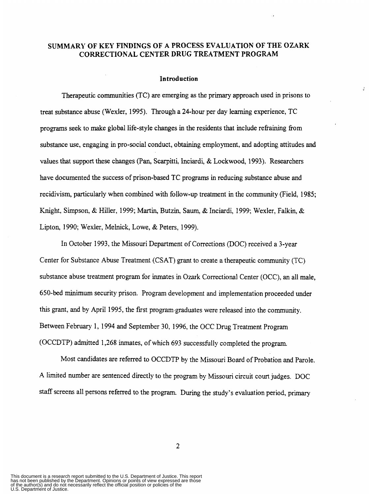# **SUMMARY OF KEY FINDINGS OF A PROCESS EVALUATION OF THE OZARK CORRECTIONAL CENTER DRUG TREATMENT PROGRAM**

#### **Introduction**

 $\lambda$ 

Therapeutic communities (TC) are emerging **as** the primary approach used in prisons to treat substance abuse (Wexler, 1995). Through a 24-hour per day learning experience, TC programs seek to make global life-style changes in the residents that include refraining from substance use, engaging in pro-social conduct, obtaining employment, **and** adopting attitudes and values that support these changes **(Pan,** Scarpitti. Inciardi, & Lockwood, 1993). Researchers have documented the success of prison-based TC programs in reducing substance abuse and recidivism, particularly when combined with follow-up treatment in the community (Field, **1985;**  Knight, Simpson, & Hiller, 1999; Martin, Butzin, Saum, & Inciardi, 1999; Wexler, Falkin, & Lipton, 1990; Wexler, Melnick, Lowe, & Peters, 1999).

In October 1993, the Missouri Department of Corrections (DOC) received a 3-year Center for Substance Abuse Treatment (CSAT) grant to create a therapeutic community (TC) substance abuse treatment program for inmates in **Ozark** Correctional Center (OCC), an all male, 650-bed minimum security prison. Program development and implementation proceeded under this grant, and by April 1995, the fist program.graduates were released into the community. Between February 1, 1994 **and** September 30, 1996, the OCC Drug Treatment Program (OCCDTP) admitted 1,268 inmates, of which 693 successfully completed the program.

Most candidates are referred to OCCDTP by the Missouri Board of Probation and Parole. A limited number are sentenced directly to the program by Missouri circuit court judges. DOC *staff* screens all persons referred to the program. During the study's evaluation period, primary

This document is a research report submitted to the U.S. Department of Justice. This report<br>has not been published by the Department. Opinions or points of view expressed are those<br>of the author(s) and do not necessarily r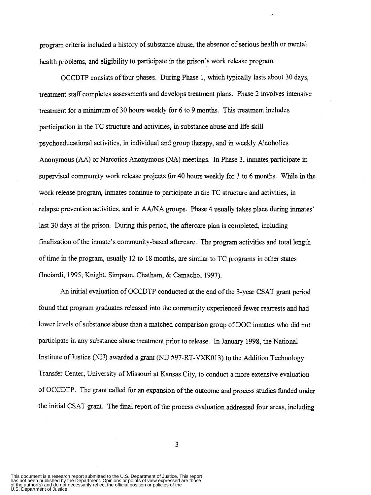program criteria included a history of substance abuse. the absence of serious health or mental health problems, and eligibility to participate in the prison's work release program.

OCCDTP consists of four phases. During Phase 1, which typically lasts about 30 days, treatment staff completes assessments and develops treatment plans. Phase **2** involves intensive treatment for a **minimum** of **30** hours weekly for 6 to 9 months. This treatment includes participation in the TC structure and activities, in substance abuse and life skill psychoeducational activities, in individual and group therapy, and in weekly Alcoholics Anonymous **(AA)** or Narcotics Anonymous **(NA)** meetings. In Phase 3, inmates participate **in**  supervised community work release projects for 40 hours weekly for 3 to 6 months. While in the work release program, inmates continue to participate in the TC structure and activities, in relapse prevention activities, and in **AA/NA** groups. Phase **4** usually takes place during inmates' last 30 days at the prison. During this period, the aftercare plan is completed, including finaIization of the inmate's community-based aftercare. The program activities and total length of time in the program, usually 12 to 18 months, are similar to TC programs in other states (Inciardi 1995; Knight, Simpson, Chatham, & Camacho, 1997).

*An* initial evaluation of OCCDTP conducted at the end of the 3-year CSAT grant period found that program graduates released into the community experienced fewer rearrests and had lower levels of substance abuse than a matched comparison group of DOC inmates who did not participate in any substance abuse treatment prior to release. In January **1998,** the National Institute of Justice (NIJ) awarded a grant (NIJ #97-RT-VXK013) to the Addition Technology Transfer Center. University of Missouri at **Kansas** City, to conduct a more extensive evaluation of OCCDTP. The grant called for **an** expansion of the outcome and process studies fimded under the initial CSAT grant. The final report of the process evaluation addressed four areas, including

This document is a research report submitted to the U.S. Department of Justice. This report<br>has not been published by the Department. Opinions or points of view expressed are those<br>of the author(s) and do not necessarily r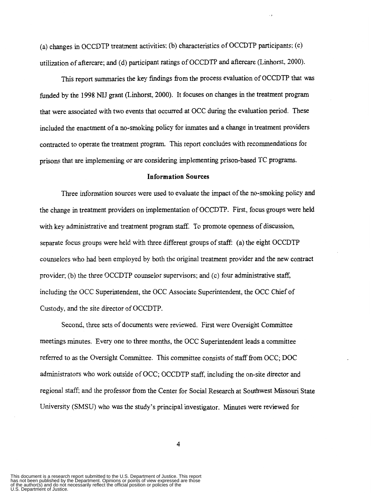(a) changes in OCCDTP treatment activities; (b) characteristics of OCCDTP participants: (c) utilization of aftercare; and (d) participant ratings of OCCDTP and aftercare (Linhorst, 2000).

This report summaries the key findings fiom the process evaluation of OCCDTP that was funded by the 1998 **NIJ** grant (Linhorst, 2000). It focuses on changes in the treatment program that were associated with two events that occurred at OCC during the evaluation period. These included the enactment of a no-smoking policy for inmates and a change **in** treatment providers contracted to operate the treatment program. This report concludes with recommendations for prisons that are implementing or are considering implementing prison-based TC programs.

## **Information Sources**

Three information sources were used to evaluate the impact of the no-smoking policy and the change in treatment providers on implementation of OCCDTP. First, focus groups were held with key administrative and treatment program staff. To promote openness of discussion, separate focus groups were held with three different groups of staff: (a) the eight OCCDTP counselors who had been employed by both the original treatment provider and the new contract provider; (b) the three OCCDTP counselor supervisors; and (c) four administrative staff, including the OCC Superintendent, the OCC Associate Superintendent, the OCC Chief of Custody, and the site director of OCCDTP.

Second, three sets of documents were reviewed. **First** were Oversight Committee meetings minutes. Every one to three months, the OCC Superintendent leads a committee referred to **as** the Oversight Committee. This committee consists of staff fiom OCC; DOC administrators who work outside of OCC; OCCDTP staff, including the on-site director and regional staff; and the professor from the Center for Social Research at Southwest Missouri State University (SMSU) who was the study's principal investigator. Mmutes were reviewed for

This document is a research report submitted to the U.S. Department of Justice. This report<br>has not been published by the Department. Opinions or points of view expressed are those<br>of the author(s) and do not necessarily r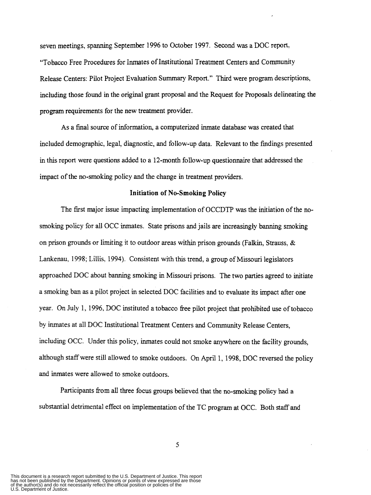seven meetings, spanning September 1996 to October 1997. Second was a DOC report. "Tobacco Free Procedures for Inmates of Institutional Treatment Centers and Community Release Centers: Pilot Project Evaluation Summary Report." Third were program descriptions, including those found in the original grant proposal and the Request for Proposals delineating the program requirements for the new treatment provider.

**As** a final source of information, a computerized inmate database was created that included demographic, legal, diagnostic, and follow-up data. Relevant to the findings presented in this report were questions added to a 12-month follow-up questionnaire that addressed the impact of the no-smoking policy and the change in treatment providers.

#### **Initiation of No-Smoking Policy**

The first major issue impacting implementation of OCCDTP was the initiation of the nosmoking policy for all OCC inmates. State prisons and jails are increasingly banning smoking on prison grounds or limiting it to outdoor areas within prison grounds (Falkin, Strauss. & Lankenau, 1998; Liliis, 1994). Consistent with this trend, a group of Missouri legislators approached DOC about banning smoking in Missouri prisons. The two parties agreed to initiate **a** smoking ban **as a** pilot project **in** selected DOC facilities and to evaluate its impact after one year. On July 1, 1996, DOC instituted a tobacco free pilot project that prohibited use of tobacco by inmates at all DOC Institutional Treatment Centers and Community Release Centers, including OCC. Under this policy, inmates could not smoke anywhere on the facility grounds, although staff were still allowed to smoke outdoors. On April 1, 1998, DOC reversed the policy and inmates were allowed to smoke outdoors.

Participants from all three focus groups believed that the no-smoking policy had a substantial detrimental effect on implementation of the TC program at OCC. Both staff and

*5* 

This document is a research report submitted to the U.S. Department of Justice. This report<br>has not been published by the Department. Opinions or points of view expressed are those<br>of the author(s) and do not necessarily r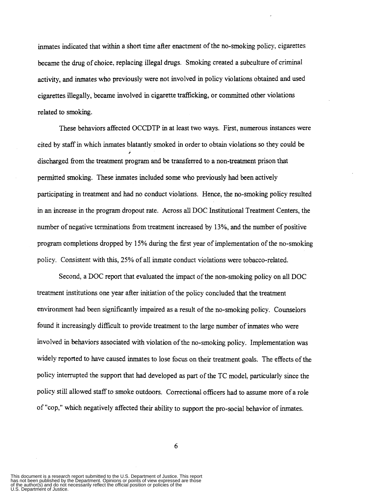inmates indicated that within a short time after enactment of the no-smoking policy, cigarettes became the drug of choice, replacing illegal drugs. Smoking created a subculture of criminal activity, and inmates who previously were not involved in policy violations obtained and used cigarettes illegally, became involved in cigarette trafficking, or committed other violations related to smoking.

These behaviors affected OCCDTP **in** at least two ways. First, numerous instances were cited by *stafT* in which inmates blatantly smoked in order to obtain violations so they could be discharged fiom the treatment program and be transferred to a non-treatment prison that *r*  permitted smoking. These inmates included some who previously had been actively participating in treatment and had no conduct violations. Hence, the no-smoking policy resulted in an increase in the program dropout rate. Across all DOC Institutional Treatment Centers, the number of negative terminations fiom treatment increased by 13%, and the number of positive program completions dropped by 15% during the first year of implementation of the no-smoking policy. Consistent with this, *25%* of all inmate conduct violations were tobacco-related.

Second, a DOC report that evaluated the impact of the non-smoking policy on all DOC treatment institutions one year after initiation of the policy concluded that the treatment environment had been significantly impaired as a result of the no-smoking policy. Counselors found it increasingly difficult to provide treatment to the large number of inmates who were involved in behaviors associated with violation of the no-smoking policy. Implementation was widely reported to have caused inmates to lose focus on their treatment goals. The effects of the policy interrupted the support that had developed **as** part of the TC model, particularly since the policy still allowed staff to smoke outdoors. Correctional officers had to assume more of **a** role of "cop," which negatively affected their ability to support the pro-social behavior of inmates.

6

This document is a research report submitted to the U.S. Department of Justice. This report<br>has not been published by the Department. Opinions or points of view expressed are those<br>of the author(s) and do not necessarily r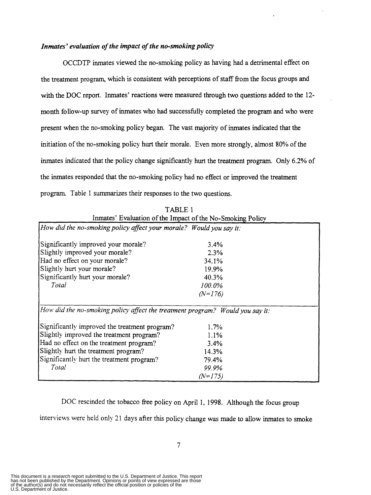# *Inmates' evaluation of the impact of the no-smoking policy*

OCCDTP inmates viewed the no-smoking policy as having had a detrimental effect on the treatment program, which is consistent with perceptions of staff from the focus groups and with the DOC report. Inmates' reactions were measured through two **questions** added to the 12 month follow-up survey of inmates who had successfully completed the program and who were present when the no-smoking policy began. The vast majority of inmates indicated that the initiation of the no-smoking policy hurt their morale. Even more strongly, almost 80% of the inmates indicated that the policy change significantly hurt the treatment program Only *6.2%* of the inmates responded that the no-smoking policy had no effect or improved the treatment program. Table 1 summarizes their responses to the two questions.

| IABLE I                                                                       |           |  |
|-------------------------------------------------------------------------------|-----------|--|
| Inmates' Evaluation of the Impact of the No-Smoking Policy                    |           |  |
| How did the no-smoking policy affect your morale? Would you say it:           |           |  |
| Significantly improved your morale?                                           | 3.4%      |  |
| Slightly improved your morale?                                                | 2.3%      |  |
| Had no effect on your morale?                                                 | 34.1%     |  |
| Slightly hurt your morale?                                                    | 19.9%     |  |
| Significantly hurt your morale?                                               | 40.3%     |  |
| Total                                                                         | 100.0%    |  |
|                                                                               | $(N=176)$ |  |
| How did the no-smoking policy affect the treatment program? Would you say it: |           |  |
| Significantly improved the treatment program?                                 | $1.7\%$   |  |
| Slightly improved the treatment program?                                      | 1.1%      |  |
| Had no effect on the treatment program?                                       | 3.4%      |  |
| Slightly hurt the treatment program?                                          | 14.3%     |  |
| Significantly hurt the treatment program?                                     | 79.4%     |  |
| Total                                                                         | 99.9%     |  |
|                                                                               | $(N=175)$ |  |
|                                                                               |           |  |

 $T_{\rm max}$  is the integral of  $T_{\rm max}$ 

DOC rescinded the tobacco free policy on April 1, 1998. Although the focus group

interviews were held only 21 days after this policy change **was** made to allow inmates to smoke

U.S. Department of Justice. has not been published by the Department. Opinions or points of view expressed are those of the author(s) and do not necessarily reflect the official position or policies of the This document is a research report submitted to the U.S. Department of Justice. This report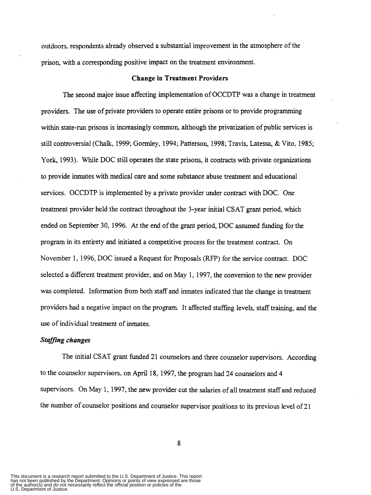outdoors, respondents already observed a substantial improvement in the atmosphere of the prison, with a corresponding positive impact on the treatment environment.

#### **Change in Treatment Providers**

The second major issue affecting implementation of OCCDTP was a change **in** treatment providers. The use of private providers to operate entire prisons or to provide programming within state-run prisons is increasingly common, although the privatization of public services **is**  still controversial (Chalk, 1999; Gormley, 1994; Patterson, 1998; Travis, Latessa, & Vito, 1985; York, 1993). While DOC still operates the state prisons, it contracts with private organizations to provide inmates with medical care and some substance abuse treatment and educational services. OCCDTP is implemented by **a** private provider under contract with DOC. One treatment provider held the contract throughout the 3-year initial CSAT grant period, which ended on September *30,* 1996. At the end of the grant period, DOC assumed funding for the program in its entirety and initiated **a** competitive process for the treatment contract. On November 1, 1996, DOC issued a Request for Proposals (RFP) for the service contract. DOC selected a different treatment provider, and on May 1, 1997, the conversion to the new provider was completed. Information from both staff and inmates indicated that the change in treatment providers had a negative impact on the program. It affected staffing levels, staff training, and the use of individual treatment of inmates.

#### *Staffing changes*

The initial CSAT grant funded 21 counselors and three counselor supervisors. According to the counselor supervisors, on April 18, 1997, the program had **24** counselors and **4**  supervisors. On May 1, 1997, the new provider cut the salaries of all treatment staff and reduced the number of counselor positions and counselor supervisor positions to its previous level of 21

This document is a research report submitted to the U.S. Department of Justice. This report<br>has not been published by the Department. Opinions or points of view expressed are those<br>of the author(s) and do not necessarily r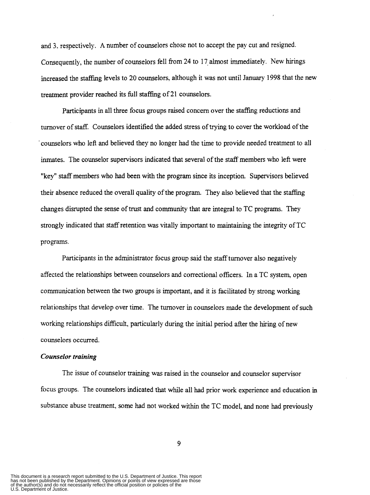and 3. respectively. **A** number of counselors chose not to accept the pay cut and resigned. Consequently, the number of counselors fell from 24 to 17 almost immediately. New hirings increased the staffing levels to **20** counselors, although it was not until January 1998 that the new treatment provider reached its full **staffing** of **2** 1 counselors.

Participants in all three focus groups raised concern over the staffing reductions and turnover of staff. Counselors identified the added stress of trying to cover the workload of the ' counselors who left and believed they no longer had the time to provide needed treatment to all inmates. The counselor supervisors indicated that several of the staff members who left were "key" staff members who had been with the program since its inception. Supervisors believed their absence reduced the overall quality of the program. They also believed that the staffing changes disrupted the sense of trust and community that are integral to TC programs. They strongly indicated that staff retention **was** vitally important to maintaining the integrity of TC programs.

Participants in the administrator focus group said the staff turnover also negatively affected the relationships between counselors and correctional officers. In a TC system, open communication between the two groups is important, and it is facilitated by strong working relationships that develop over time. The turnover in counselors made the development of such working relationships difficult, particularly during the initial period after the hiring of new counselors occurred.

#### *Counselor training*

The issue of counselor training was raised in the counselor and counselor supervisor focus groups. The counselors indicated that while all had prior work experience and education in substance abuse treatment, some had not worked within the TC model, and none had previously

This document is a research report submitted to the U.S. Department of Justice. This report<br>has not been published by the Department. Opinions or points of view expressed are those<br>of the author(s) and do not necessarily r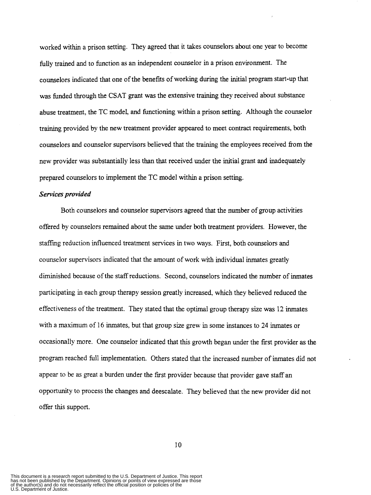worked within a prison setting. They agreed that it takes counselors about one year to become fully trained and to function **as** an independent counselor in a prison environment. The counselors indicated that one of the benefits of working during the initial program start-up that **was** funded through the **CSAT** grant **was** the extensive training they received about substance abuse treatment, the TC model, and functioning within a prison setting. Although the counselor training provided by the new treatment provider appeared to meet contract requirements, both counselors and counselor supervisors believed that the training the employees received fiom the new provider was substantially less than that received under the initial grant and inadequately prepared counselors to implement the TC model within a prison setting.

### *Services provided*

Both counselors and counselor supervisors agreed that the number of group activities offered by counselors remained about the same under both treatment providers. However, the staffing reduction influenced treatment services in two ways. First, both counselors and counselor supervisors indicated that the amount of work with individual inmates greatly diminished because of the staff reductions. Second, counselors indicated the number of inmates participating in each group therapy session greatly increased, which they believed reduced the effectiveness of the treatment. They stated that the optimal group therapy *size* was 12 inmates with a maximum of 16 inmates, but that group size grew in some instances to **24** inmates or occasionally more. One counselor indicated that this growth began under the first provider **as** the program reached full implementation. Others stated that the increased number of inmates did not appear to be **as** great a burden under the first provider because that provider gave staff an opportunity to process the changes and deescalate. They believed that the new provider did not offer this support.

This document is a research report submitted to the U.S. Department of Justice. This report<br>has not been published by the Department. Opinions or points of view expressed are those<br>of the author(s) and do not necessarily r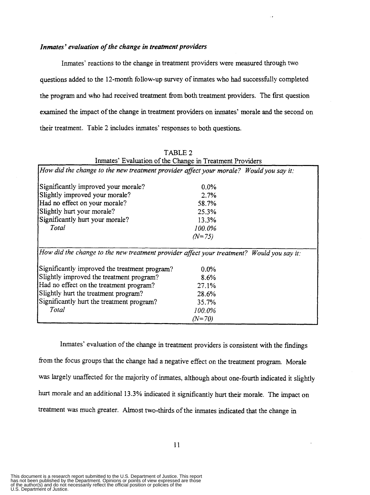## *Inmates' evaluation of the change in treatment providers*

Inmates' reactions to the change in treatment providers were measured through two questions added to the 12-month follow-up survey of inmates who had successhlly completed the program and who had received treatment from both treatment providers. The first question examined the impact of the change in treatment providers on inmates' morale **and** the second on their treatment. Table **2** includes inmates' responses to both questions.

| Inmates' Evaluation of the Change in Treatment Providers                                  |          |
|-------------------------------------------------------------------------------------------|----------|
| How did the change to the new treatment provider affect your morale? Would you say it:    |          |
| Significantly improved your morale?                                                       | $0.0\%$  |
| Slightly improved your morale?                                                            | 2.7%     |
| Had no effect on your morale?                                                             | 58.7%    |
| Slightly hurt your morale?                                                                | 25.3%    |
| Significantly hurt your morale?                                                           | 13.3%    |
| Total                                                                                     | 100.0%   |
|                                                                                           | $(N=75)$ |
| How did the change to the new treatment provider affect your treatment? Would you say it: |          |
| Significantly improved the treatment program?                                             | $0.0\%$  |
| Slightly improved the treatment program?                                                  | 8.6%     |
| Had no effect on the treatment program?                                                   | 27.1%    |
| Slightly hurt the treatment program?                                                      | 28.6%    |
| Significantly hurt the treatment program?                                                 | 35.7%    |
| Total                                                                                     | 100.0%   |
|                                                                                           | $(N=70)$ |

TABLE **2**  Inmates' Evaluation of the Change in Treatment Providers

Inmates' evaluation of the change in treatment providers is consistent with the findings from the focus groups that the change had a negative effect on the treatment program. Morale was largely unaffected for the majority of inmates, although about one-fourth indicated it slightly hurt morale and an additional **13.3%** indicated it significantly hurt their morale. The impact on treatment was much greater. Almost two-thirds of the inmates indicated that the change **in** 

This document is a research report submitted to the U.S. Department of Justice. This report<br>has not been published by the Department. Opinions or points of view expressed are those<br>of the author(s) and do not necessarily r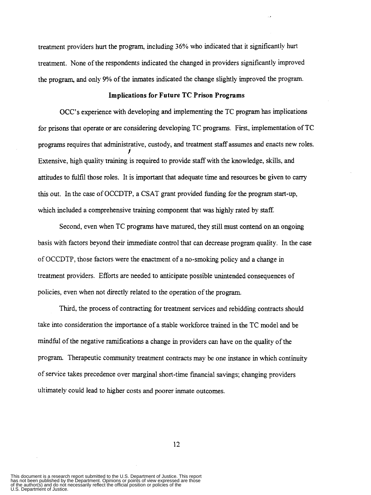treatment providers hurt the program, including *36%* who indicated that it significantly hurt treatment. None of the respondents indicated the changed in providers Significantly improved the program, and only **9%** of the inmates indicated the change slightly improved the program.

#### **Implications for Future TC Prison Programs**

OCC's experience with developing and implementing the TC program has implications for prisons that operate or are considering developing TC programs. First, implementation of TC programs requires that administrative, custody, and treatment staff assumes and enacts new roles. Extensive, high quality training is required to provide staff with the knowledge, skills, and attitudes to fulfil those roles. It is important that adequate time and resources be given to carry this out. In the case of OCCDTP, **a** CSAT grant provided funding for the program start-up, which included a comprehensive training component that **was** highly rated by staff. *t* 

Second, even when TC programs have matured, they still must contend on **an** ongoing basis with factors beyond their immediate control that can decrease program quality. In the case of OCCDTP, those factors were the enactment of **a** no-smoking policy and a change in treatment providers. Efforts are needed to anticipate possible unintended consequences of policies, even when not directly related to the operation of the program.

Third, the process of contracting for treatment services and rebidding contracts should take into consideration the importance of a stable workforce trained in the TC model and be mindful of the negative ramifications a change in providers can have on the quality of the program. Therapeutic community treatment contracts may be one instance in which continuity of service takes precedence over marginal short-time financial savings; changing providers ultimately could lead to higher costs and poorer inmate outcomes.

This document is a research report submitted to the U.S. Department of Justice. This report<br>has not been published by the Department. Opinions or points of view expressed are those<br>of the author(s) and do not necessarily r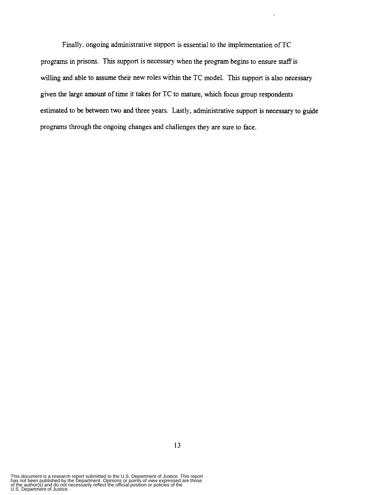Finally. ongoing administrative support **is** essential to the implementation of TC programs in prisons. This support is necessary when the program begins to ensure staff is willing and able to assume their new roles within the TC model. This support is also necessary given the large amount of time it takes for TC to mature, which focus group respondents estimated to be between two and three years. Lastly, administrative support is necessary to guide programs through the ongoing changes and challenges they are sure *to* face.

This document is a research report submitted to the U.S. Department of Justice. This report<br>has not been published by the Department. Opinions or points of view expressed are those<br>of the author(s) and do not necessarily r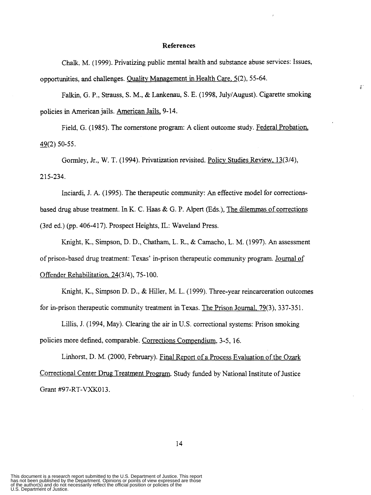#### **References**

Chalk. M. (1 999). Privatizing public mental health and substance abuse services: Issues, opportunities, **and** challenges. Oualitv Management **in** Health Care. 5(2), 55-64.

Falkin, G. P., Strauss, **S.** M., & Lankenau, S. E. (1998, July/August). Cigarette smoking policies in American jails. American Jails, 9-14.

Field, G. (1985). The cornerstone program: **A** client outcome study. Federal Probation,  $49(2)$  50-55.

Gormley, Jr., W. T. (1994). Privatization revisited. Policv Studies Review. **13(3/4),**  2 15-234.

Inciardi, J. **A.** (1995). The therapeutic community: *An* effective model for correctionsbased **drug** abuse treatment. In K. C. Haas & G. P. Alpert (Eds.), The dilemmas of corrections (3rd ed.) (pp. 406-417). Prospect Heights, IL: Waveland Press.

Knight, K., Simpson, D. D., Chatham, L. **R,** & Camacho, L. M. (1997). *An* assessment of prison-based drug treatment: Texas' in-prison therapeutic community program. Journal of Offender Rehabilitation. 24(3/4), 75-100.

Knight, K., Simpson D. D., & Hiller, M. L. (1999). Three-year reincarceration outcomes for in-prison therapeutic community treatment in Texas. The Prison Journal. 79(3), 337-351.

Lillis, J. (1994, May). Clearing the air in U.S. correctional systems: Prison smoking policies more defined, comparable. Corrections Compendium, 3-5, 16.

Linhorst, D. M. (2000, February). Final Report of a Process Evaluation of the **Ozark**  Correctional Center Drug Treatment Program. Study funded by National Institute of Justice Grant #97-RT-VXK013.

 $\delta^+$ 

This document is a research report submitted to the U.S. Department of Justice. This report<br>has not been published by the Department. Opinions or points of view expressed are those<br>of the author(s) and do not necessarily r